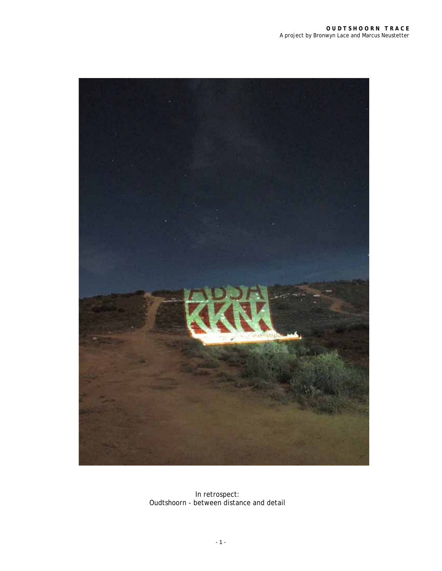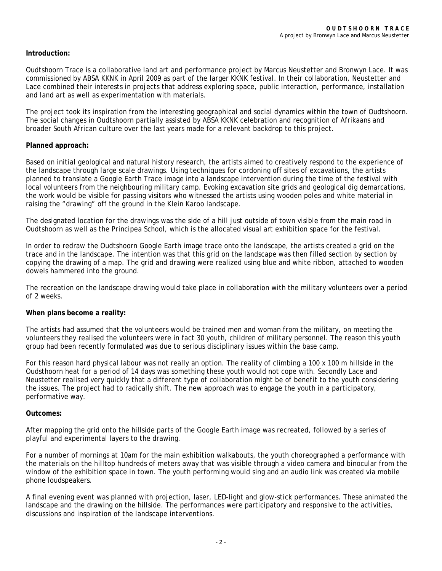## **Introduction:**

Oudtshoorn Trace is a collaborative land art and performance project by Marcus Neustetter and Bronwyn Lace. It was commissioned by ABSA KKNK in April 2009 as part of the larger KKNK festival. In their collaboration, Neustetter and Lace combined their interests in projects that address exploring space, public interaction, performance, installation and land art as well as experimentation with materials.

The project took its inspiration from the interesting geographical and social dynamics within the town of Oudtshoorn. The social changes in Oudtshoorn partially assisted by ABSA KKNK celebration and recognition of Afrikaans and broader South African culture over the last years made for a relevant backdrop to this project.

## **Planned approach:**

Based on initial geological and natural history research, the artists aimed to creatively respond to the experience of the landscape through large scale drawings. Using techniques for cordoning off sites of excavations, the artists planned to translate a Google Earth Trace image into a landscape intervention during the time of the festival with local volunteers from the neighbouring military camp. Evoking excavation site grids and geological dig demarcations, the work would be visible for passing visitors who witnessed the artists using wooden poles and white material in raising the "drawing" off the ground in the Klein Karoo landscape.

The designated location for the drawings was the side of a hill just outside of town visible from the main road in Oudtshoorn as well as the Principea School, which is the allocated visual art exhibition space for the festival.

In order to redraw the Oudtshoorn Google Earth image trace onto the landscape, the artists created a grid on the trace and in the landscape. The intention was that this grid on the landscape was then filled section by section by copying the drawing of a map. The grid and drawing were realized using blue and white ribbon, attached to wooden dowels hammered into the ground.

The recreation on the landscape drawing would take place in collaboration with the military volunteers over a period of 2 weeks.

## **When plans become a reality:**

The artists had assumed that the volunteers would be trained men and woman from the military, on meeting the volunteers they realised the volunteers were in fact 30 youth, children of military personnel. The reason this youth group had been recently formulated was due to serious disciplinary issues within the base camp.

For this reason hard physical labour was not really an option. The reality of climbing a 100 x 100 m hillside in the Oudsthoorn heat for a period of 14 days was something these youth would not cope with. Secondly Lace and Neustetter realised very quickly that a different type of collaboration might be of benefit to the youth considering the issues. The project had to radically shift. The new approach was to engage the youth in a participatory, performative way.

## **Outcomes:**

After mapping the grid onto the hillside parts of the Google Earth image was recreated, followed by a series of playful and experimental layers to the drawing.

For a number of mornings at 10am for the main exhibition walkabouts, the youth choreographed a performance with the materials on the hilltop hundreds of meters away that was visible through a video camera and binocular from the window of the exhibition space in town. The youth performing would sing and an audio link was created via mobile phone loudspeakers.

A final evening event was planned with projection, laser, LED-light and glow-stick performances. These animated the landscape and the drawing on the hillside. The performances were participatory and responsive to the activities, discussions and inspiration of the landscape interventions.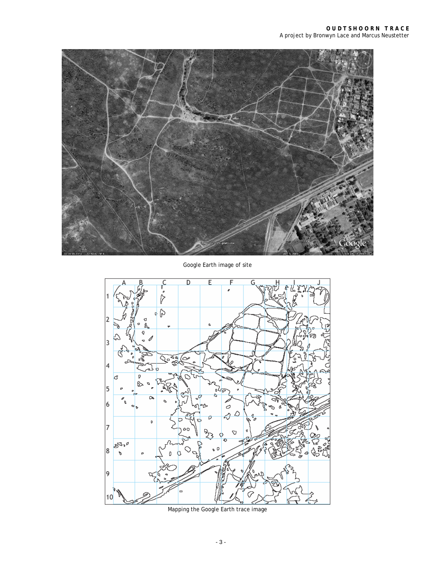

Google Earth image of site



Mapping the Google Earth trace image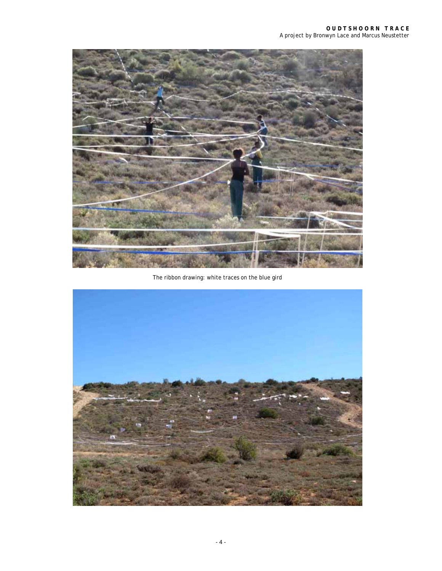

The ribbon drawing: white traces on the blue gird

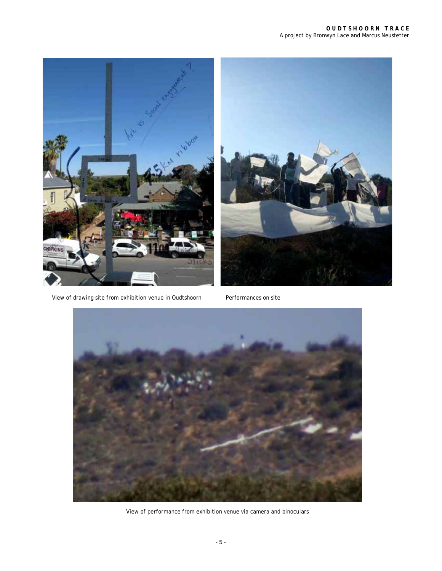

View of drawing site from exhibition venue in Oudtshoorn Performances on site





View of performance from exhibition venue via camera and binoculars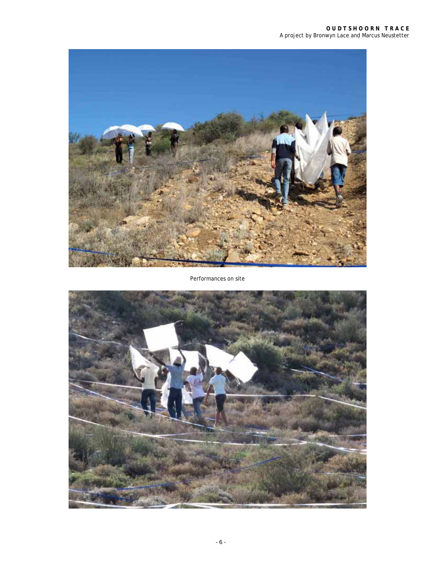

Performances on site

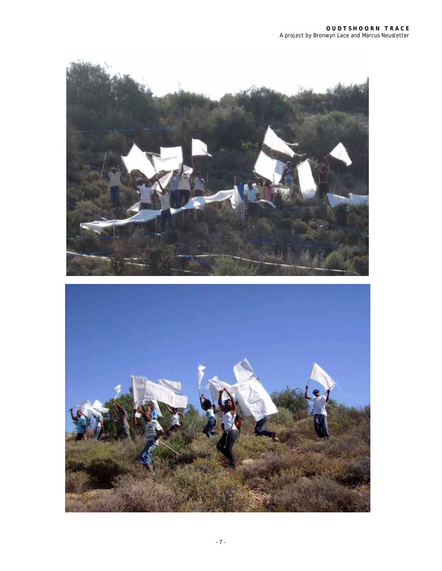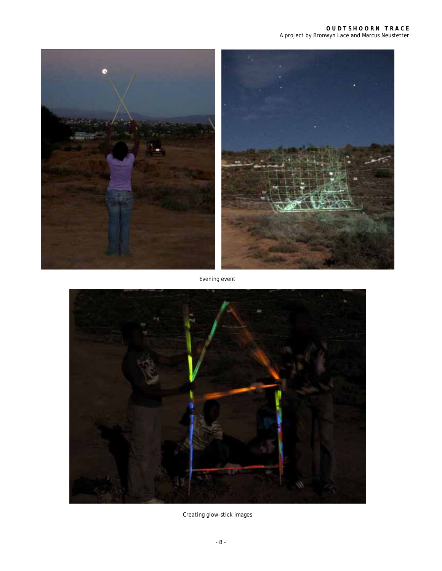

Evening event



Creating glow-stick images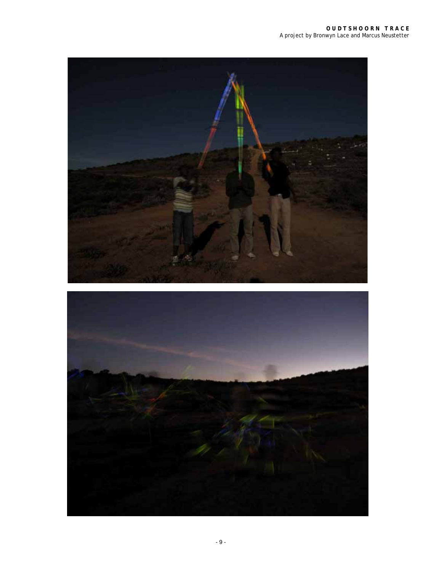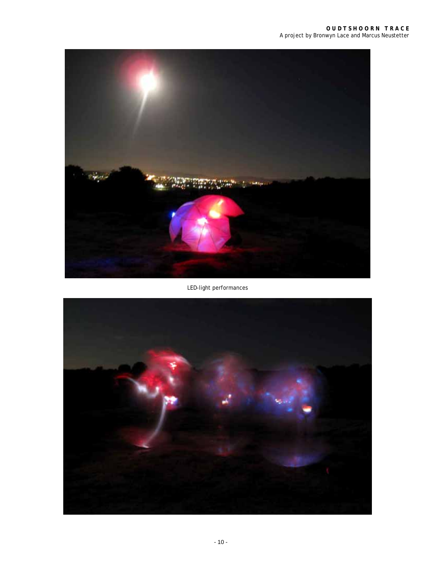

LED-light performances

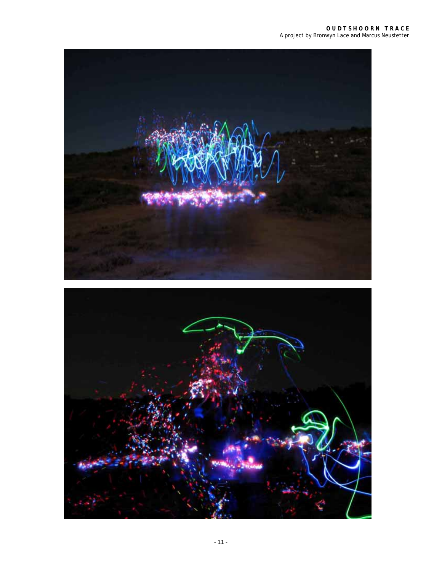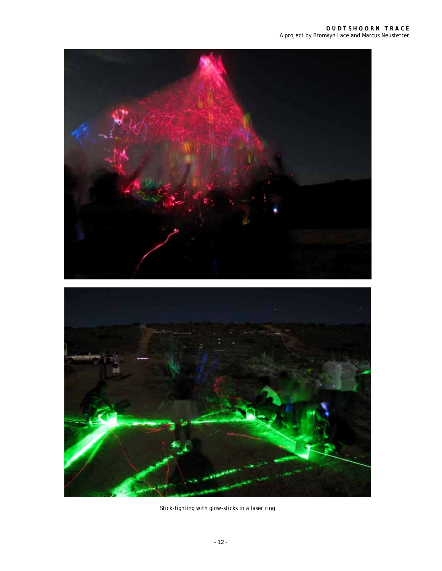

Stick-fighting with glow-sticks in a laser ring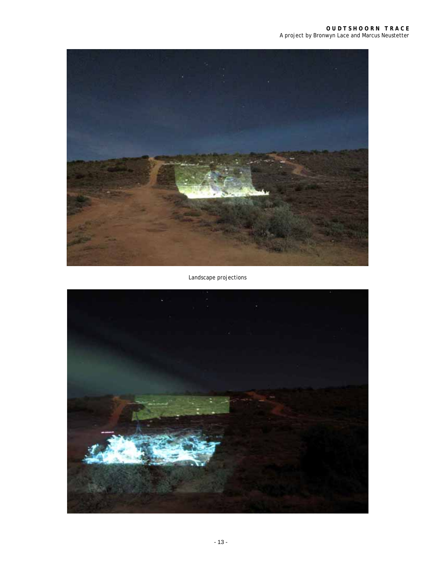

Landscape projections

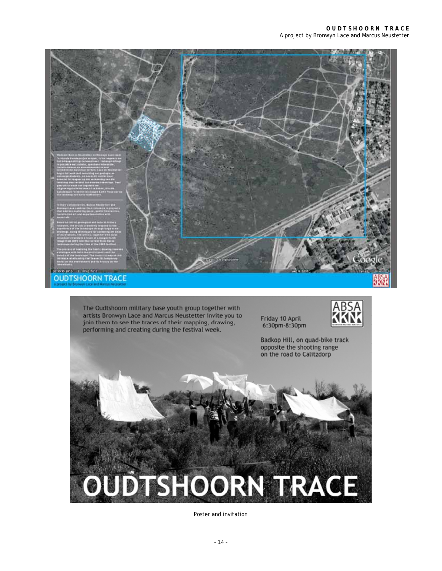

Poster and invitation